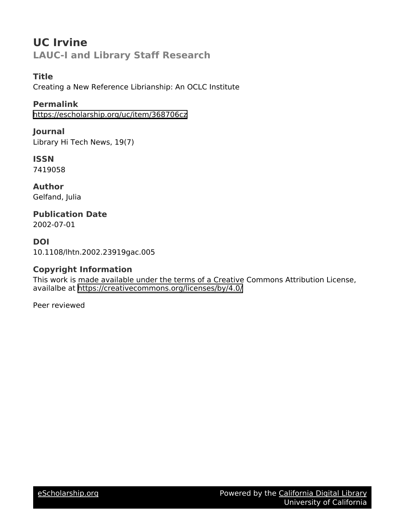# **UC Irvine LAUC-I and Library Staff Research**

# **Title**

Creating a New Reference Librianship: An OCLC Institute

## **Permalink**

<https://escholarship.org/uc/item/368706cz>

### **Journal**

Library Hi Tech News, 19(7)

# **ISSN**

7419058

#### **Author** Gelfand, Julia

### **Publication Date** 2002-07-01

# **DOI**

10.1108/lhtn.2002.23919gac.005

# **Copyright Information**

This work is made available under the terms of a Creative Commons Attribution License, availalbe at <https://creativecommons.org/licenses/by/4.0/>

Peer reviewed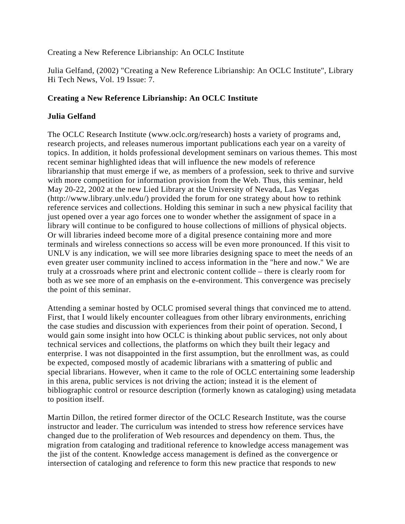#### Creating a New Reference Librianship: An OCLC Institute

Julia Gelfand, (2002) "Creating a New Reference Librianship: An OCLC Institute", Library Hi Tech News, Vol. 19 Issue: 7.

#### **Creating a New Reference Librianship: An OCLC Institute**

#### **Julia Gelfand**

The OCLC Research Institute (www.oclc.org/research) hosts a variety of programs and, research projects, and releases numerous important publications each year on a vareity of topics. In addition, it holds professional development seminars on various themes. This most recent seminar highlighted ideas that will influence the new models of reference librarianship that must emerge if we, as members of a profession, seek to thrive and survive with more competition for information provision from the Web. Thus, this seminar, held May 20-22, 2002 at the new Lied Library at the University of Nevada, Las Vegas (http://www.library.unlv.edu/) provided the forum for one strategy about how to rethink reference services and collections. Holding this seminar in such a new physical facility that just opened over a year ago forces one to wonder whether the assignment of space in a library will continue to be configured to house collections of millions of physical objects. Or will libraries indeed become more of a digital presence containing more and more terminals and wireless connections so access will be even more pronounced. If this visit to UNLV is any indication, we will see more libraries designing space to meet the needs of an even greater user community inclined to access information in the "here and now." We are truly at a crossroads where print and electronic content collide – there is clearly room for both as we see more of an emphasis on the e-environment. This convergence was precisely the point of this seminar.

Attending a seminar hosted by OCLC promised several things that convinced me to attend. First, that I would likely encounter colleagues from other library environments, enriching the case studies and discussion with experiences from their point of operation. Second, I would gain some insight into how OCLC is thinking about public services, not only about technical services and collections, the platforms on which they built their legacy and enterprise. I was not disappointed in the first assumption, but the enrollment was, as could be expected, composed mostly of academic librarians with a smattering of public and special librarians. However, when it came to the role of OCLC entertaining some leadership in this arena, public services is not driving the action; instead it is the element of bibliographic control or resource description (formerly known as cataloging) using metadata to position itself.

Martin Dillon, the retired former director of the OCLC Research Institute, was the course instructor and leader. The curriculum was intended to stress how reference services have changed due to the proliferation of Web resources and dependency on them. Thus, the migration from cataloging and traditional reference to knowledge access management was the jist of the content. Knowledge access management is defined as the convergence or intersection of cataloging and reference to form this new practice that responds to new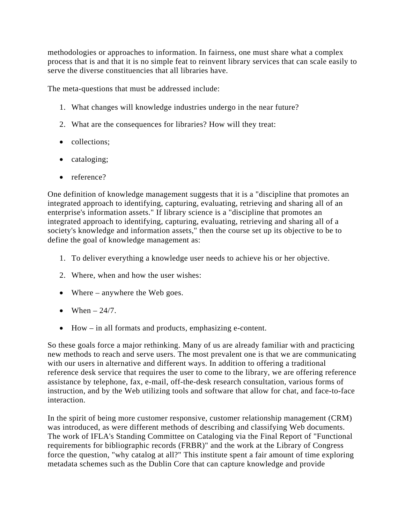methodologies or approaches to information. In fairness, one must share what a complex process that is and that it is no simple feat to reinvent library services that can scale easily to serve the diverse constituencies that all libraries have.

The meta-questions that must be addressed include:

- 1. What changes will knowledge industries undergo in the near future?
- 2. What are the consequences for libraries? How will they treat:
- collections;
- cataloging;
- reference?

One definition of knowledge management suggests that it is a "discipline that promotes an integrated approach to identifying, capturing, evaluating, retrieving and sharing all of an enterprise's information assets." If library science is a "discipline that promotes an integrated approach to identifying, capturing, evaluating, retrieving and sharing all of a society's knowledge and information assets," then the course set up its objective to be to define the goal of knowledge management as:

- 1. To deliver everything a knowledge user needs to achieve his or her objective.
- 2. Where, when and how the user wishes:
- Where anywhere the Web goes.
- $\bullet$  When  $-24/7$ .
- $\bullet$  How in all formats and products, emphasizing e-content.

So these goals force a major rethinking. Many of us are already familiar with and practicing new methods to reach and serve users. The most prevalent one is that we are communicating with our users in alternative and different ways. In addition to offering a traditional reference desk service that requires the user to come to the library, we are offering reference assistance by telephone, fax, e-mail, off-the-desk research consultation, various forms of instruction, and by the Web utilizing tools and software that allow for chat, and face-to-face interaction.

In the spirit of being more customer responsive, customer relationship management (CRM) was introduced, as were different methods of describing and classifying Web documents. The work of IFLA's Standing Committee on Cataloging via the Final Report of "Functional requirements for bibliographic records (FRBR)" and the work at the Library of Congress force the question, "why catalog at all?" This institute spent a fair amount of time exploring metadata schemes such as the Dublin Core that can capture knowledge and provide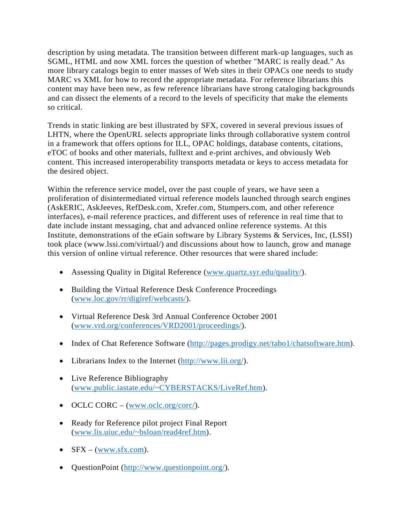description by using metadata. The transition between different mark-up languages, such as SGML, HTML and now XML forces the question of whether "MARC is really dead." As more library catalogs begin to enter masses of Web sites in their OPACs one needs to study MARC vs XML for how to record the appropriate metadata. For reference librarians this content may have been new, as few reference librarians have strong cataloging backgrounds and can dissect the elements of a record to the levels of specificity that make the elements so critical.

Trends in static linking are best illustrated by SFX, covered in several previous issues of LHTN, where the OpenURL selects appropriate links through collaborative system control in a framework that offers options for ILL, OPAC holdings, database contents, citations, eTOC of books and other materials, fulltext and e-print archives, and obviously Web content. This increased interoperability transports metadata or keys to access metadata for the desired object.

Within the reference service model, over the past couple of years, we have seen a proliferation of disintermediated virtual reference models launched through search engines (AskERIC, AskJeeves, RefDesk.com, Xrefer.com, Stumpers.com, and other reference interfaces), e-mail reference practices, and different uses of reference in real time that to date include instant messaging, chat and advanced online reference systems. At this Institute, demonstrations of the eGain software by Library Systems & Services, Inc, (LSSI) took place (www.lssi.com/virtual/) and discussions about how to launch, grow and manage this version of online virtual reference. Other resources that were shared include:

- Assessing Quality in Digital Reference (www.quartz.syr.edu/quality/).
- Building the Virtual Reference Desk Conference Proceedings (www.loc.gov/rr/digiref/webcasts/).
- Virtual Reference Desk 3rd Annual Conference October 2001 (www.vrd.org/conferences/VRD2001/proceedings/).
- Index of Chat Reference Software (http://pages.prodigy.net/tabo1/chatsoftware.htm).
- Librarians Index to the Internet (http://www.lii.org/).
- Live Reference Bibliography (www.public.iastate.edu/~CYBERSTACKS/LiveRef.htm).
- $\odot$  OCLC CORC (www.oclc.org/corc/).
- Ready for Reference pilot project Final Report (www.lis.uiuc.edu/~bsloan/read4ref.htm).
- $\bullet$  SFX (www.sfx.com).
- QuestionPoint (http://www.questionpoint.org/).